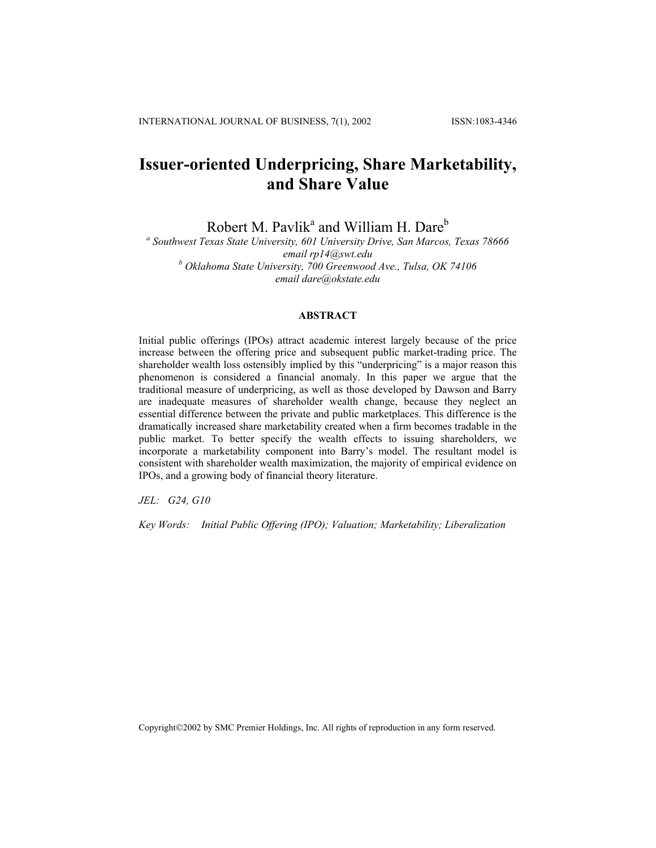# **Issuer-oriented Underpricing, Share Marketability, and Share Value**

Robert M. Pavlik<sup>a</sup> and William H. Dare<sup>b</sup>

*a Southwest Texas State University, 601 University Drive, San Marcos, Texas 78666 email [rp14@swt.edu](mailto:rp14@swt.edu) b Oklahoma State University, 700 Greenwood Ave., Tulsa, OK 74106 email dare@okstate.edu* 

## **ABSTRACT**

Initial public offerings (IPOs) attract academic interest largely because of the price increase between the offering price and subsequent public market-trading price. The shareholder wealth loss ostensibly implied by this "underpricing" is a major reason this phenomenon is considered a financial anomaly. In this paper we argue that the traditional measure of underpricing, as well as those developed by Dawson and Barry are inadequate measures of shareholder wealth change, because they neglect an essential difference between the private and public marketplaces. This difference is the dramatically increased share marketability created when a firm becomes tradable in the public market. To better specify the wealth effects to issuing shareholders, we incorporate a marketability component into Barry's model. The resultant model is consistent with shareholder wealth maximization, the majority of empirical evidence on IPOs, and a growing body of financial theory literature.

*JEL: G24, G10* 

*Key Words: Initial Public Offering (IPO); Valuation; Marketability; Liberalization*

Copyright©2002 by SMC Premier Holdings, Inc. All rights of reproduction in any form reserved.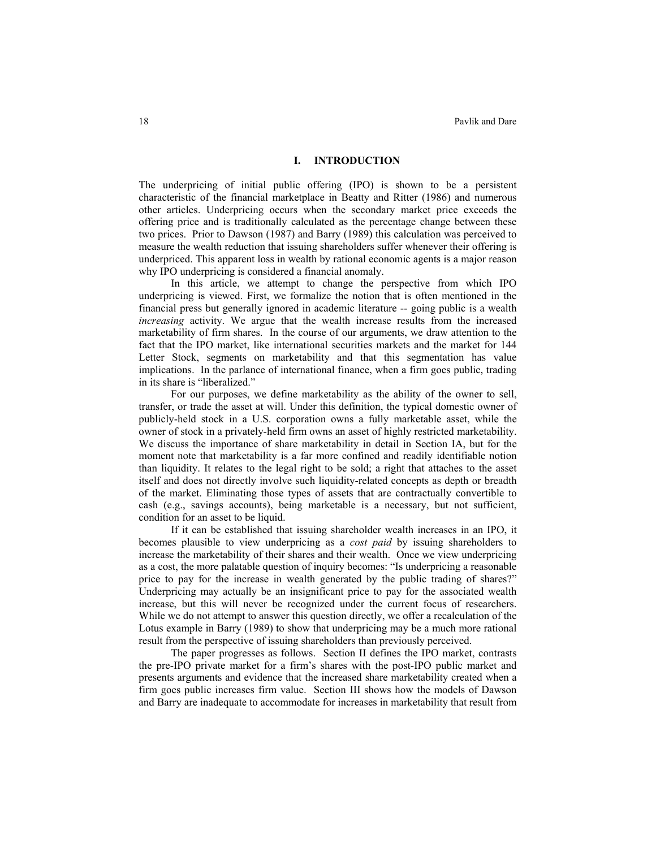### **I. INTRODUCTION**

The underpricing of initial public offering (IPO) is shown to be a persistent characteristic of the financial marketplace in Beatty and Ritter (1986) and numerous other articles. Underpricing occurs when the secondary market price exceeds the offering price and is traditionally calculated as the percentage change between these two prices. Prior to Dawson (1987) and Barry (1989) this calculation was perceived to measure the wealth reduction that issuing shareholders suffer whenever their offering is underpriced. This apparent loss in wealth by rational economic agents is a major reason why IPO underpricing is considered a financial anomaly.

In this article, we attempt to change the perspective from which IPO underpricing is viewed. First, we formalize the notion that is often mentioned in the financial press but generally ignored in academic literature -- going public is a wealth *increasing* activity. We argue that the wealth increase results from the increased marketability of firm shares. In the course of our arguments, we draw attention to the fact that the IPO market, like international securities markets and the market for 144 Letter Stock, segments on marketability and that this segmentation has value implications. In the parlance of international finance, when a firm goes public, trading in its share is "liberalized."

For our purposes, we define marketability as the ability of the owner to sell, transfer, or trade the asset at will. Under this definition, the typical domestic owner of publicly-held stock in a U.S. corporation owns a fully marketable asset, while the owner of stock in a privately-held firm owns an asset of highly restricted marketability. We discuss the importance of share marketability in detail in Section IA, but for the moment note that marketability is a far more confined and readily identifiable notion than liquidity. It relates to the legal right to be sold; a right that attaches to the asset itself and does not directly involve such liquidity-related concepts as depth or breadth of the market. Eliminating those types of assets that are contractually convertible to cash (e.g., savings accounts), being marketable is a necessary, but not sufficient, condition for an asset to be liquid.

If it can be established that issuing shareholder wealth increases in an IPO, it becomes plausible to view underpricing as a *cost paid* by issuing shareholders to increase the marketability of their shares and their wealth. Once we view underpricing as a cost, the more palatable question of inquiry becomes: "Is underpricing a reasonable price to pay for the increase in wealth generated by the public trading of shares?" Underpricing may actually be an insignificant price to pay for the associated wealth increase, but this will never be recognized under the current focus of researchers. While we do not attempt to answer this question directly, we offer a recalculation of the Lotus example in Barry (1989) to show that underpricing may be a much more rational result from the perspective of issuing shareholders than previously perceived.

The paper progresses as follows. Section II defines the IPO market, contrasts the pre-IPO private market for a firm's shares with the post-IPO public market and presents arguments and evidence that the increased share marketability created when a firm goes public increases firm value. Section III shows how the models of Dawson and Barry are inadequate to accommodate for increases in marketability that result from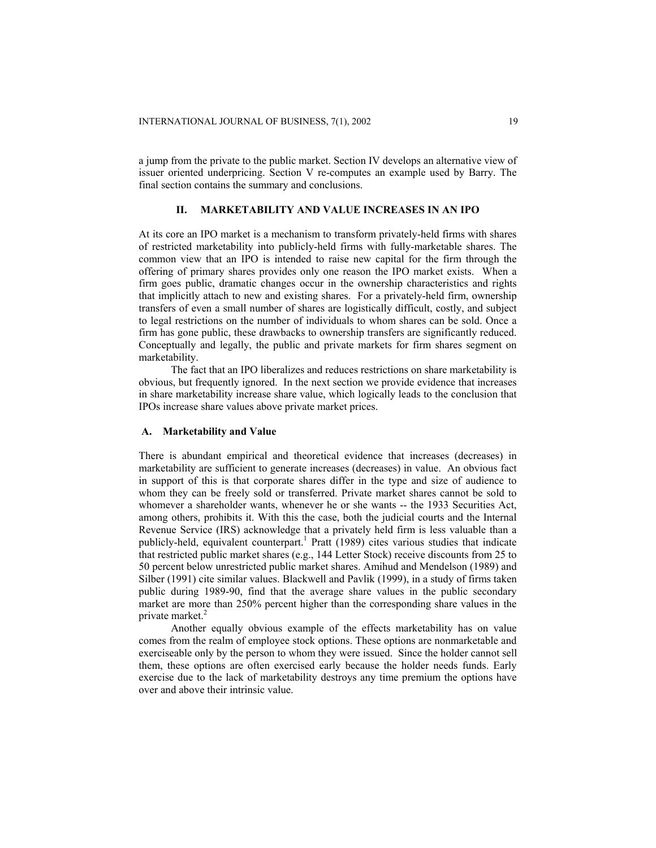a jump from the private to the public market. Section IV develops an alternative view of issuer oriented underpricing. Section V re-computes an example used by Barry. The final section contains the summary and conclusions.

## **II. MARKETABILITY AND VALUE INCREASES IN AN IPO**

At its core an IPO market is a mechanism to transform privately-held firms with shares of restricted marketability into publicly-held firms with fully-marketable shares. The common view that an IPO is intended to raise new capital for the firm through the offering of primary shares provides only one reason the IPO market exists. When a firm goes public, dramatic changes occur in the ownership characteristics and rights that implicitly attach to new and existing shares. For a privately-held firm, ownership transfers of even a small number of shares are logistically difficult, costly, and subject to legal restrictions on the number of individuals to whom shares can be sold. Once a firm has gone public, these drawbacks to ownership transfers are significantly reduced. Conceptually and legally, the public and private markets for firm shares segment on marketability.

The fact that an IPO liberalizes and reduces restrictions on share marketability is obvious, but frequently ignored. In the next section we provide evidence that increases in share marketability increase share value, which logically leads to the conclusion that IPOs increase share values above private market prices.

### **A. Marketability and Value**

There is abundant empirical and theoretical evidence that increases (decreases) in marketability are sufficient to generate increases (decreases) in value. An obvious fact in support of this is that corporate shares differ in the type and size of audience to whom they can be freely sold or transferred. Private market shares cannot be sold to whomever a shareholder wants, whenever he or she wants -- the 1933 Securities Act, among others, prohibits it. With this the case, both the judicial courts and the Internal Revenue Service (IRS) acknowledge that a privately held firm is less valuable than a publicly-held, equivalent counterpart. <sup>1</sup> Pratt (1989) cites various studies that indicate that restricted public market shares (e.g., 144 Letter Stock) receive discounts from 25 to 50 percent below unrestricted public market shares. Amihud and Mendelson (1989) and Silber (1991) cite similar values. Blackwell and Pavlik (1999), in a study of firms taken public during 1989-90, find that the average share values in the public secondary market are more than 250% percent higher than the corresponding share values in the private market.<sup>2</sup>

Another equally obvious example of the effects marketability has on value comes from the realm of employee stock options. These options are nonmarketable and exerciseable only by the person to whom they were issued. Since the holder cannot sell them, these options are often exercised early because the holder needs funds. Early exercise due to the lack of marketability destroys any time premium the options have over and above their intrinsic value.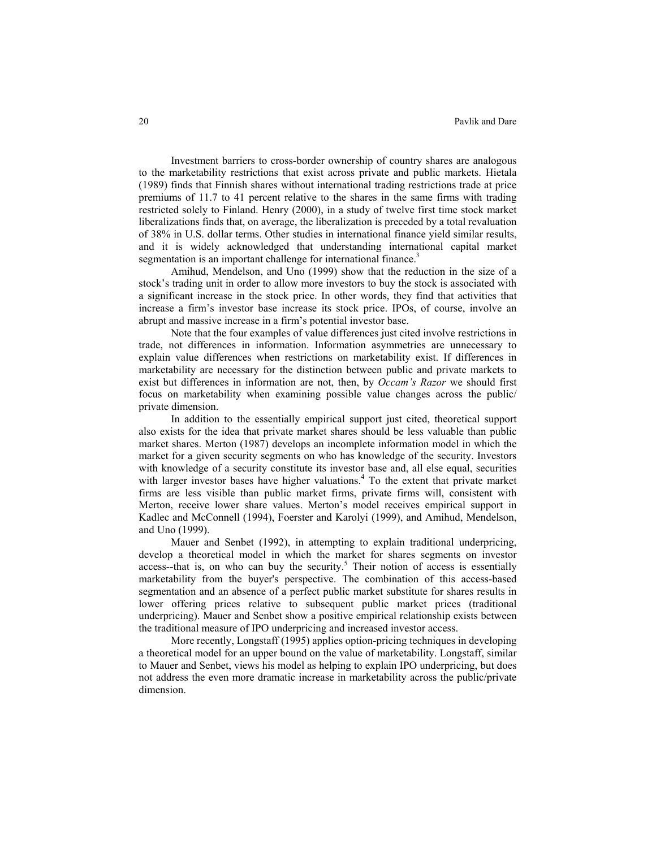Investment barriers to cross-border ownership of country shares are analogous to the marketability restrictions that exist across private and public markets. Hietala (1989) finds that Finnish shares without international trading restrictions trade at price premiums of 11.7 to 41 percent relative to the shares in the same firms with trading restricted solely to Finland. Henry (2000), in a study of twelve first time stock market liberalizations finds that, on average, the liberalization is preceded by a total revaluation of 38% in U.S. dollar terms. Other studies in international finance yield similar results, and it is widely acknowledged that understanding international capital market segmentation is an important challenge for international finance.<sup>3</sup>

Amihud, Mendelson, and Uno (1999) show that the reduction in the size of a stock's trading unit in order to allow more investors to buy the stock is associated with a significant increase in the stock price. In other words, they find that activities that increase a firm's investor base increase its stock price. IPOs, of course, involve an abrupt and massive increase in a firm's potential investor base.

Note that the four examples of value differences just cited involve restrictions in trade, not differences in information. Information asymmetries are unnecessary to explain value differences when restrictions on marketability exist. If differences in marketability are necessary for the distinction between public and private markets to exist but differences in information are not, then, by *Occam's Razor* we should first focus on marketability when examining possible value changes across the public/ private dimension.

In addition to the essentially empirical support just cited, theoretical support also exists for the idea that private market shares should be less valuable than public market shares. Merton (1987) develops an incomplete information model in which the market for a given security segments on who has knowledge of the security. Investors with knowledge of a security constitute its investor base and, all else equal, securities with larger investor bases have higher valuations.<sup>4</sup> To the extent that private market firms are less visible than public market firms, private firms will, consistent with Merton, receive lower share values. Merton's model receives empirical support in Kadlec and McConnell (1994), Foerster and Karolyi (1999), and Amihud, Mendelson, and Uno (1999).

Mauer and Senbet (1992), in attempting to explain traditional underpricing, develop a theoretical model in which the market for shares segments on investor  $access$ -that is, on who can buy the security.<sup>5</sup> Their notion of access is essentially marketability from the buyer's perspective. The combination of this access-based segmentation and an absence of a perfect public market substitute for shares results in lower offering prices relative to subsequent public market prices (traditional underpricing). Mauer and Senbet show a positive empirical relationship exists between the traditional measure of IPO underpricing and increased investor access.

More recently, Longstaff (1995) applies option-pricing techniques in developing a theoretical model for an upper bound on the value of marketability. Longstaff, similar to Mauer and Senbet, views his model as helping to explain IPO underpricing, but does not address the even more dramatic increase in marketability across the public/private dimension.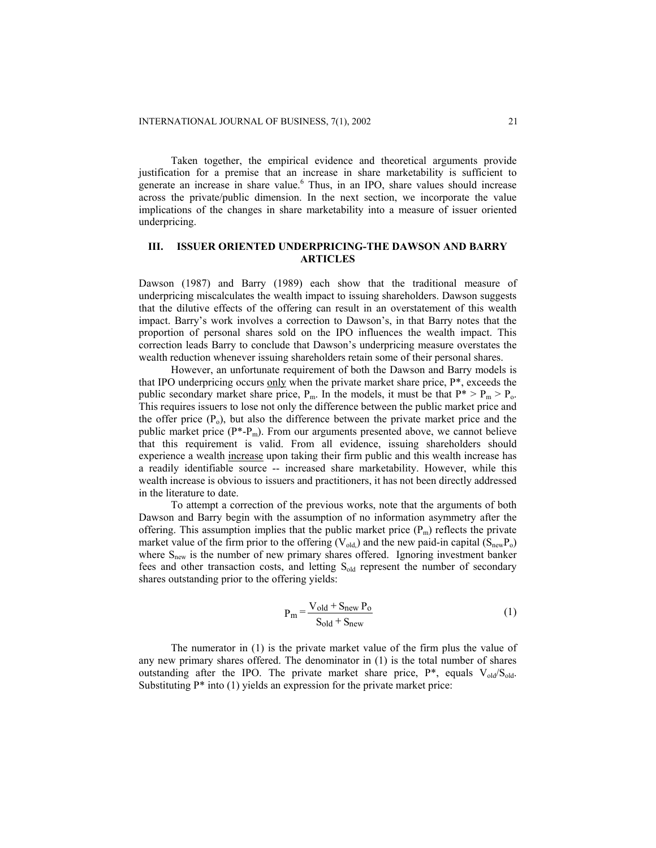Taken together, the empirical evidence and theoretical arguments provide justification for a premise that an increase in share marketability is sufficient to generate an increase in share value.<sup>6</sup> Thus, in an IPO, share values should increase across the private/public dimension. In the next section, we incorporate the value implications of the changes in share marketability into a measure of issuer oriented underpricing.

## **III. ISSUER ORIENTED UNDERPRICING-THE DAWSON AND BARRY ARTICLES**

Dawson (1987) and Barry (1989) each show that the traditional measure of underpricing miscalculates the wealth impact to issuing shareholders. Dawson suggests that the dilutive effects of the offering can result in an overstatement of this wealth impact. Barry's work involves a correction to Dawson's, in that Barry notes that the proportion of personal shares sold on the IPO influences the wealth impact. This correction leads Barry to conclude that Dawson's underpricing measure overstates the wealth reduction whenever issuing shareholders retain some of their personal shares.

However, an unfortunate requirement of both the Dawson and Barry models is that IPO underpricing occurs only when the private market share price, P\*, exceeds the public secondary market share price,  $P_m$ . In the models, it must be that  $P^* > P_m > P_o$ . This requires issuers to lose not only the difference between the public market price and the offer price  $(P_0)$ , but also the difference between the private market price and the public market price  $(P^*P_m)$ . From our arguments presented above, we cannot believe that this requirement is valid. From all evidence, issuing shareholders should experience a wealth increase upon taking their firm public and this wealth increase has a readily identifiable source -- increased share marketability. However, while this wealth increase is obvious to issuers and practitioners, it has not been directly addressed in the literature to date.

To attempt a correction of the previous works, note that the arguments of both Dawson and Barry begin with the assumption of no information asymmetry after the offering. This assumption implies that the public market price  $(P_m)$  reflects the private market value of the firm prior to the offering ( $V_{old}$ ) and the new paid-in capital ( $S_{new}P_o$ ) where S<sub>new</sub> is the number of new primary shares offered. Ignoring investment banker fees and other transaction costs, and letting  $S_{old}$  represent the number of secondary shares outstanding prior to the offering yields:

$$
P_m = \frac{V_{old} + S_{new} P_0}{S_{old} + S_{new}}
$$
 (1)

The numerator in (1) is the private market value of the firm plus the value of any new primary shares offered. The denominator in (1) is the total number of shares outstanding after the IPO. The private market share price,  $P^*$ , equals  $V_{old}/S_{old}$ . Substituting  $P^*$  into (1) yields an expression for the private market price: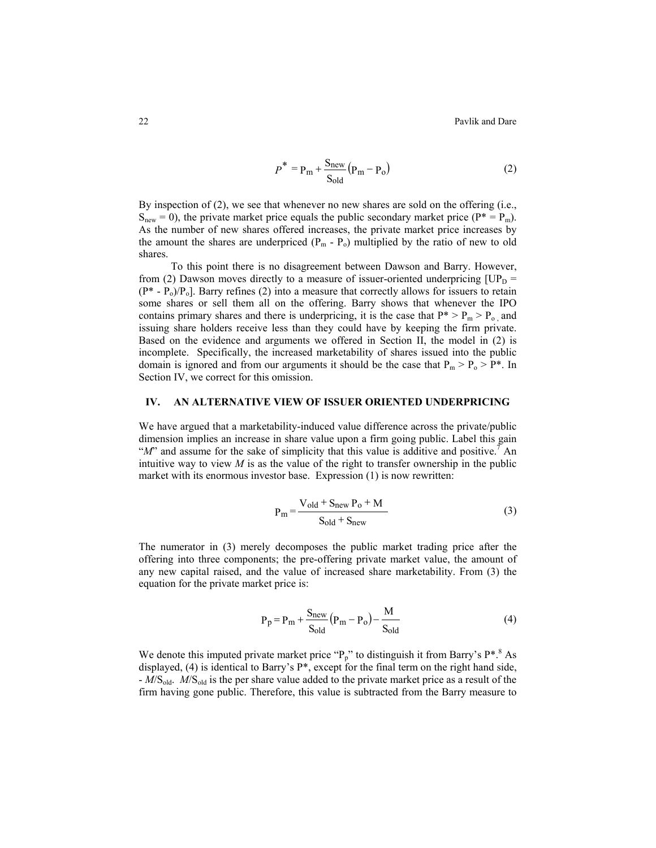22 **Pavlik and Dare** Pavlik and Dare

$$
P^* = P_m + \frac{S_{new}}{S_{old}} (P_m - P_o)
$$
 (2)

By inspection of (2), we see that whenever no new shares are sold on the offering (i.e.,  $S<sub>new</sub> = 0$ ), the private market price equals the public secondary market price ( $P^* = P_m$ ). As the number of new shares offered increases, the private market price increases by the amount the shares are underpriced  $(P_m - P_o)$  multiplied by the ratio of new to old shares.

To this point there is no disagreement between Dawson and Barry. However, from (2) Dawson moves directly to a measure of issuer-oriented underpricing  $[UP_D =$  $(P^* - P_0)/P_0$ . Barry refines (2) into a measure that correctly allows for issuers to retain some shares or sell them all on the offering. Barry shows that whenever the IPO contains primary shares and there is underpricing, it is the case that  $P^* > P_m > P_o$ , and issuing share holders receive less than they could have by keeping the firm private. Based on the evidence and arguments we offered in Section II, the model in (2) is incomplete. Specifically, the increased marketability of shares issued into the public domain is ignored and from our arguments it should be the case that  $P_m > P_o > P^*$ . In Section IV, we correct for this omission.

## **IV. AN ALTERNATIVE VIEW OF ISSUER ORIENTED UNDERPRICING**

We have argued that a marketability-induced value difference across the private/public dimension implies an increase in share value upon a firm going public. Label this gain " $M$ " and assume for the sake of simplicity that this value is additive and positive.<sup>7</sup> An intuitive way to view  $M$  is as the value of the right to transfer ownership in the public market with its enormous investor base. Expression (1) is now rewritten:

$$
P_m = \frac{V_{old} + S_{new} P_0 + M}{S_{old} + S_{new}}
$$
 (3)

The numerator in (3) merely decomposes the public market trading price after the offering into three components; the pre-offering private market value, the amount of any new capital raised, and the value of increased share marketability. From (3) the equation for the private market price is:

$$
P_p = P_m + \frac{S_{new}}{S_{old}}(P_m - P_o) - \frac{M}{S_{old}}
$$
(4)

We denote this imputed private market price " $P_p$ " to distinguish it from Barry's  $P^{*,8}$  As displayed, (4) is identical to Barry's P\*, except for the final term on the right hand side, - *M*/Sold. *M*/Sold is the per share value added to the private market price as a result of the firm having gone public. Therefore, this value is subtracted from the Barry measure to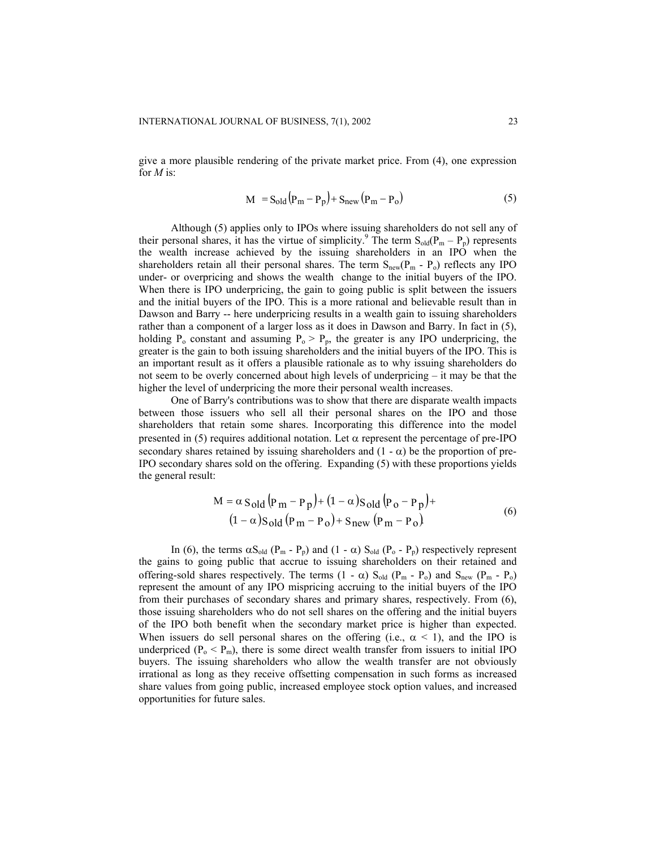give a more plausible rendering of the private market price. From (4), one expression for *M* is:

$$
M = S_{old}(P_m - P_p) + S_{new}(P_m - P_o)
$$
 (5)

Although (5) applies only to IPOs where issuing shareholders do not sell any of their personal shares, it has the virtue of simplicity.<sup>9</sup> The term  $S_{old}(P_m - P_p)$  represents the wealth increase achieved by the issuing shareholders in an IPO when the shareholders retain all their personal shares. The term  $S_{new}(P_m - P_o)$  reflects any IPO under- or overpricing and shows the wealth change to the initial buyers of the IPO. When there is IPO underpricing, the gain to going public is split between the issuers and the initial buyers of the IPO. This is a more rational and believable result than in Dawson and Barry -- here underpricing results in a wealth gain to issuing shareholders rather than a component of a larger loss as it does in Dawson and Barry. In fact in (5), holding  $P_0$  constant and assuming  $P_0 > P_p$ , the greater is any IPO underpricing, the greater is the gain to both issuing shareholders and the initial buyers of the IPO. This is an important result as it offers a plausible rationale as to why issuing shareholders do not seem to be overly concerned about high levels of underpricing – it may be that the higher the level of underpricing the more their personal wealth increases.

One of Barry's contributions was to show that there are disparate wealth impacts between those issuers who sell all their personal shares on the IPO and those shareholders that retain some shares. Incorporating this difference into the model presented in (5) requires additional notation. Let  $\alpha$  represent the percentage of pre-IPO secondary shares retained by issuing shareholders and  $(1 - \alpha)$  be the proportion of pre-IPO secondary shares sold on the offering. Expanding (5) with these proportions yields the general result:

 $\mathcal{L}$ 

$$
M = \alpha S_{\text{old}} (P_m - P_p) + (1 - \alpha) S_{\text{old}} (P_o - P_p) +
$$
  
(1 - \alpha) S\_{\text{old}} (P\_m - P\_o) + S\_{\text{new}} (P\_m - P\_o) (6)

In (6), the terms  $\alpha S_{old}$  (P<sub>m</sub> - P<sub>p</sub>) and (1 -  $\alpha$ )  $S_{old}$  (P<sub>o</sub> - P<sub>p</sub>) respectively represent the gains to going public that accrue to issuing shareholders on their retained and offering-sold shares respectively. The terms  $(1 - \alpha) S_{old} (P_m - P_o)$  and  $S_{new} (P_m - P_o)$ represent the amount of any IPO mispricing accruing to the initial buyers of the IPO from their purchases of secondary shares and primary shares, respectively. From (6), those issuing shareholders who do not sell shares on the offering and the initial buyers of the IPO both benefit when the secondary market price is higher than expected. When issuers do sell personal shares on the offering (i.e.,  $\alpha$  < 1), and the IPO is underpriced  $(P_0 \le P_m)$ , there is some direct wealth transfer from issuers to initial IPO buyers. The issuing shareholders who allow the wealth transfer are not obviously irrational as long as they receive offsetting compensation in such forms as increased share values from going public, increased employee stock option values, and increased opportunities for future sales.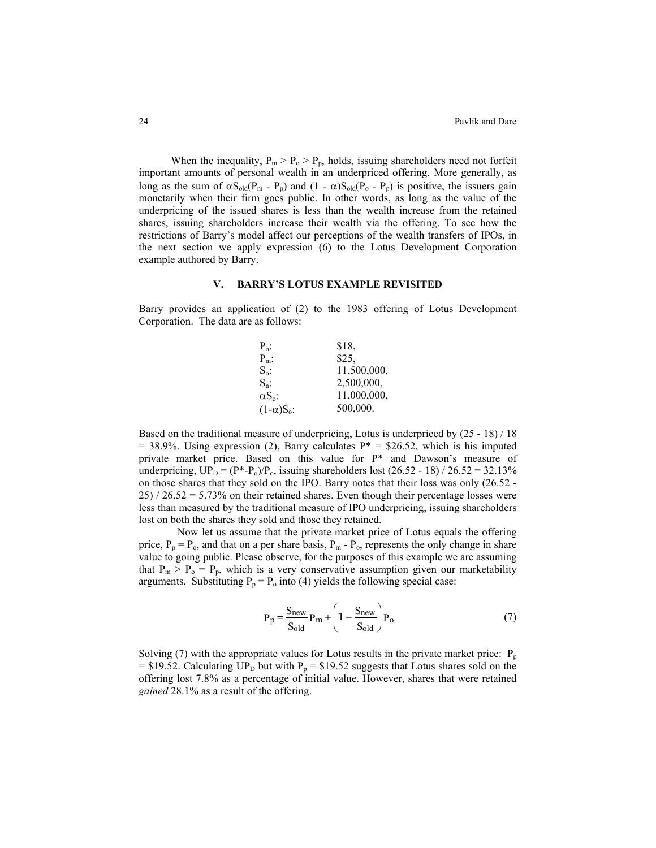When the inequality,  $P_m > P_o > P_p$ , holds, issuing shareholders need not forfeit important amounts of personal wealth in an underpriced offering. More generally, as long as the sum of  $\alpha S_{old}(P_m - P_p)$  and  $(1 - \alpha)S_{old}(P_o - P_p)$  is positive, the issuers gain monetarily when their firm goes public. In other words, as long as the value of the underpricing of the issued shares is less than the wealth increase from the retained shares, issuing shareholders increase their wealth via the offering. To see how the restrictions of Barry's model affect our perceptions of the wealth transfers of IPOs, in the next section we apply expression (6) to the Lotus Development Corporation example authored by Barry.

#### **V. BARRY'S LOTUS EXAMPLE REVISITED**

Barry provides an application of (2) to the 1983 offering of Lotus Development Corporation. The data are as follows:



Based on the traditional measure of underpricing, Lotus is underpriced by (25 - 18) / 18  $= 38.9\%$ . Using expression (2), Barry calculates P\* = \$26.52, which is his imputed private market price. Based on this value for P\* and Dawson's measure of underpricing,  $UP_D = (P^* - P_o)/P_o$ , issuing shareholders lost (26.52 - 18) / 26.52 = 32.13% on those shares that they sold on the IPO. Barry notes that their loss was only (26.52 -  $25$ ) /  $26.52 = 5.73\%$  on their retained shares. Even though their percentage losses were less than measured by the traditional measure of IPO underpricing, issuing shareholders lost on both the shares they sold and those they retained.

Now let us assume that the private market price of Lotus equals the offering price,  $P_p = P_o$ , and that on a per share basis,  $P_m - P_o$ , represents the only change in share value to going public. Please observe, for the purposes of this example we are assuming that  $P_m > P_o = P_p$ , which is a very conservative assumption given our marketability arguments. Substituting  $P_p = P_o$  into (4) yields the following special case:

$$
P_p = \frac{S_{new}}{S_{old}} P_m + \left(1 - \frac{S_{new}}{S_{old}}\right) P_o
$$
 (7)

Solving (7) with the appropriate values for Lotus results in the private market price:  $P_p$ = \$19.52. Calculating UP<sub>D</sub> but with P<sub>p</sub> = \$19.52 suggests that Lotus shares sold on the offering lost 7.8% as a percentage of initial value. However, shares that were retained *gained* 28.1% as a result of the offering.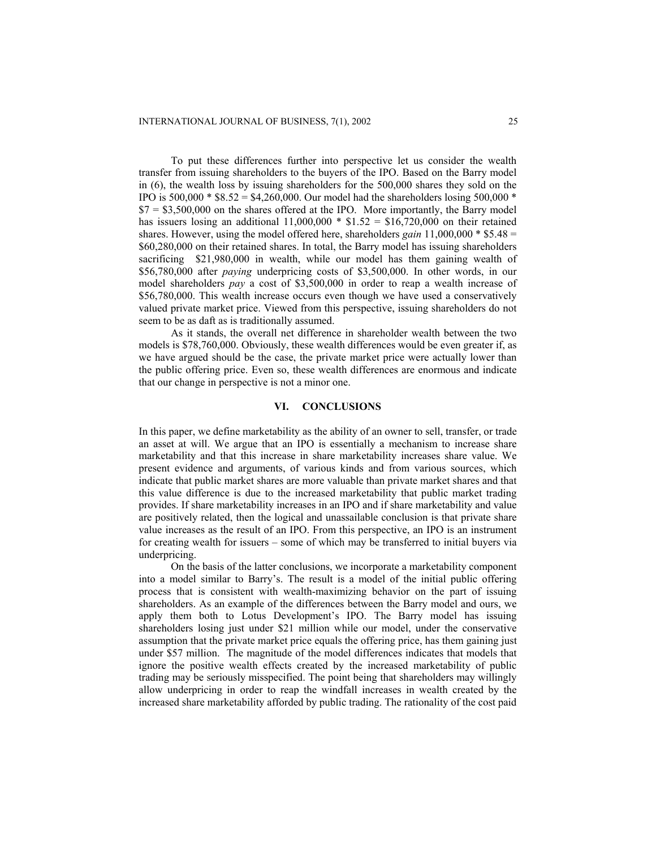To put these differences further into perspective let us consider the wealth transfer from issuing shareholders to the buyers of the IPO. Based on the Barry model in (6), the wealth loss by issuing shareholders for the 500,000 shares they sold on the IPO is  $500,000 * $8.52 = $4,260,000$ . Our model had the shareholders losing  $500,000 *$  $$7 = $3,500,000$  on the shares offered at the IPO. More importantly, the Barry model has issuers losing an additional  $11,000,000 * $1.52 = $16,720,000$  on their retained shares. However, using the model offered here, shareholders *gain* 11,000,000 \* \$5.48 = \$60,280,000 on their retained shares. In total, the Barry model has issuing shareholders sacrificing \$21,980,000 in wealth, while our model has them gaining wealth of \$56,780,000 after *paying* underpricing costs of \$3,500,000. In other words, in our model shareholders *pay* a cost of \$3,500,000 in order to reap a wealth increase of \$56,780,000. This wealth increase occurs even though we have used a conservatively valued private market price. Viewed from this perspective, issuing shareholders do not seem to be as daft as is traditionally assumed.

As it stands, the overall net difference in shareholder wealth between the two models is \$78,760,000. Obviously, these wealth differences would be even greater if, as we have argued should be the case, the private market price were actually lower than the public offering price. Even so, these wealth differences are enormous and indicate that our change in perspective is not a minor one.

## **VI. CONCLUSIONS**

In this paper, we define marketability as the ability of an owner to sell, transfer, or trade an asset at will. We argue that an IPO is essentially a mechanism to increase share marketability and that this increase in share marketability increases share value. We present evidence and arguments, of various kinds and from various sources, which indicate that public market shares are more valuable than private market shares and that this value difference is due to the increased marketability that public market trading provides. If share marketability increases in an IPO and if share marketability and value are positively related, then the logical and unassailable conclusion is that private share value increases as the result of an IPO. From this perspective, an IPO is an instrument for creating wealth for issuers – some of which may be transferred to initial buyers via underpricing.

On the basis of the latter conclusions, we incorporate a marketability component into a model similar to Barry's. The result is a model of the initial public offering process that is consistent with wealth-maximizing behavior on the part of issuing shareholders. As an example of the differences between the Barry model and ours, we apply them both to Lotus Development's IPO. The Barry model has issuing shareholders losing just under \$21 million while our model, under the conservative assumption that the private market price equals the offering price, has them gaining just under \$57 million. The magnitude of the model differences indicates that models that ignore the positive wealth effects created by the increased marketability of public trading may be seriously misspecified. The point being that shareholders may willingly allow underpricing in order to reap the windfall increases in wealth created by the increased share marketability afforded by public trading. The rationality of the cost paid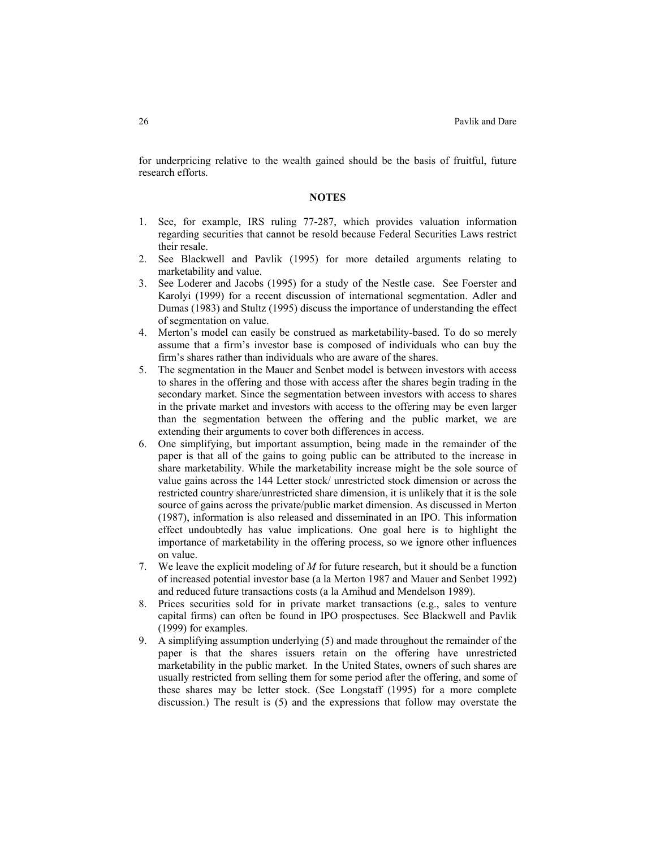for underpricing relative to the wealth gained should be the basis of fruitful, future research efforts.

#### **NOTES**

- 1. See, for example, IRS ruling 77-287, which provides valuation information regarding securities that cannot be resold because Federal Securities Laws restrict their resale.
- 2. See Blackwell and Pavlik (1995) for more detailed arguments relating to marketability and value.
- 3. See Loderer and Jacobs (1995) for a study of the Nestle case. See Foerster and Karolyi (1999) for a recent discussion of international segmentation. Adler and Dumas (1983) and Stultz (1995) discuss the importance of understanding the effect of segmentation on value.
- 4. Merton's model can easily be construed as marketability-based. To do so merely assume that a firm's investor base is composed of individuals who can buy the firm's shares rather than individuals who are aware of the shares.
- 5. The segmentation in the Mauer and Senbet model is between investors with access to shares in the offering and those with access after the shares begin trading in the secondary market. Since the segmentation between investors with access to shares in the private market and investors with access to the offering may be even larger than the segmentation between the offering and the public market, we are extending their arguments to cover both differences in access.
- 6. One simplifying, but important assumption, being made in the remainder of the paper is that all of the gains to going public can be attributed to the increase in share marketability. While the marketability increase might be the sole source of value gains across the 144 Letter stock/ unrestricted stock dimension or across the restricted country share/unrestricted share dimension, it is unlikely that it is the sole source of gains across the private/public market dimension. As discussed in Merton (1987), information is also released and disseminated in an IPO. This information effect undoubtedly has value implications. One goal here is to highlight the importance of marketability in the offering process, so we ignore other influences on value.
- 7. We leave the explicit modeling of *M* for future research, but it should be a function of increased potential investor base (a la Merton 1987 and Mauer and Senbet 1992) and reduced future transactions costs (a la Amihud and Mendelson 1989).
- 8. Prices securities sold for in private market transactions (e.g., sales to venture capital firms) can often be found in IPO prospectuses. See Blackwell and Pavlik (1999) for examples.
- 9. A simplifying assumption underlying (5) and made throughout the remainder of the paper is that the shares issuers retain on the offering have unrestricted marketability in the public market. In the United States, owners of such shares are usually restricted from selling them for some period after the offering, and some of these shares may be letter stock. (See Longstaff (1995) for a more complete discussion.) The result is (5) and the expressions that follow may overstate the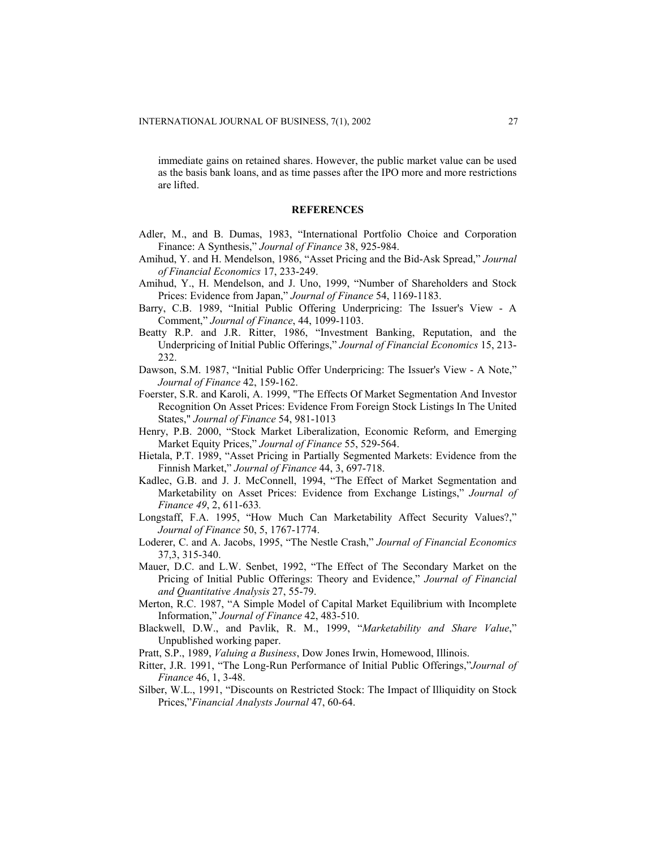immediate gains on retained shares. However, the public market value can be used as the basis bank loans, and as time passes after the IPO more and more restrictions are lifted.

#### **REFERENCES**

- Adler, M., and B. Dumas, 1983, "International Portfolio Choice and Corporation Finance: A Synthesis," *Journal of Finance* 38, 925-984.
- Amihud, Y. and H. Mendelson, 1986, "Asset Pricing and the Bid-Ask Spread," *Journal of Financial Economics* 17, 233-249.
- Amihud, Y., H. Mendelson, and J. Uno, 1999, "Number of Shareholders and Stock Prices: Evidence from Japan," *Journal of Finance* 54, 1169-1183.
- Barry, C.B. 1989, "Initial Public Offering Underpricing: The Issuer's View A Comment," *Journal of Finance*, 44, 1099-1103.
- Beatty R.P. and J.R. Ritter, 1986, "Investment Banking, Reputation, and the Underpricing of Initial Public Offerings," *Journal of Financial Economics* 15, 213- 232.
- Dawson, S.M. 1987, "Initial Public Offer Underpricing: The Issuer's View A Note," *Journal of Finance* 42, 159-162.
- Foerster, S.R. and Karoli, A. 1999, "The Effects Of Market Segmentation And Investor Recognition On Asset Prices: Evidence From Foreign Stock Listings In The United States," *Journal of Finance* 54, 981-1013
- Henry, P.B. 2000, "Stock Market Liberalization, Economic Reform, and Emerging Market Equity Prices," *Journal of Finance* 55, 529-564.
- Hietala, P.T. 1989, "Asset Pricing in Partially Segmented Markets: Evidence from the Finnish Market," *Journal of Finance* 44, 3, 697-718.
- Kadlec, G.B. and J. J. McConnell, 1994, "The Effect of Market Segmentation and Marketability on Asset Prices: Evidence from Exchange Listings," *Journal of Finance 49*, 2, 611-633*.*
- Longstaff, F.A. 1995, "How Much Can Marketability Affect Security Values?," *Journal of Finance* 50, 5, 1767-1774.
- Loderer, C. and A. Jacobs, 1995, "The Nestle Crash," *Journal of Financial Economics*  37,3, 315-340.
- Mauer, D.C. and L.W. Senbet, 1992, "The Effect of The Secondary Market on the Pricing of Initial Public Offerings: Theory and Evidence," *Journal of Financial and Quantitative Analysis* 27, 55-79.
- Merton, R.C. 1987, "A Simple Model of Capital Market Equilibrium with Incomplete Information," *Journal of Finance* 42, 483-510.
- Blackwell, D.W., and Pavlik, R. M., 1999, "*Marketability and Share Value*," Unpublished working paper.
- Pratt, S.P., 1989, *Valuing a Business*, Dow Jones Irwin, Homewood, Illinois.
- Ritter, J.R. 1991, "The Long-Run Performance of Initial Public Offerings,"*Journal of Finance* 46, 1, 3-48.
- Silber, W.L., 1991, "Discounts on Restricted Stock: The Impact of Illiquidity on Stock Prices,"*Financial Analysts Journal* 47, 60-64.